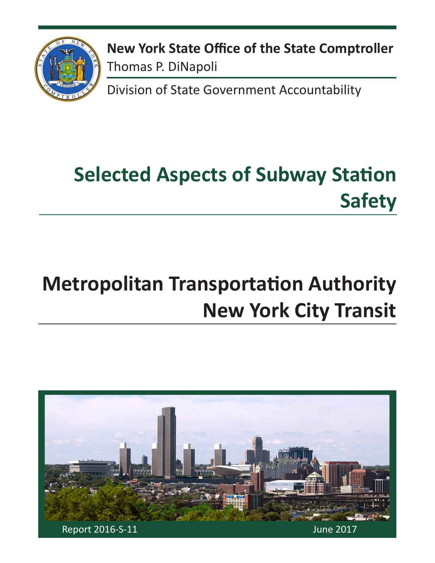

**New York State Office of the State Comptroller** Thomas P. DiNapoli

Division of State Government Accountability

# **Selected Aspects of Subway Station Safety**

# **Metropolitan Transportation Authority New York City Transit**

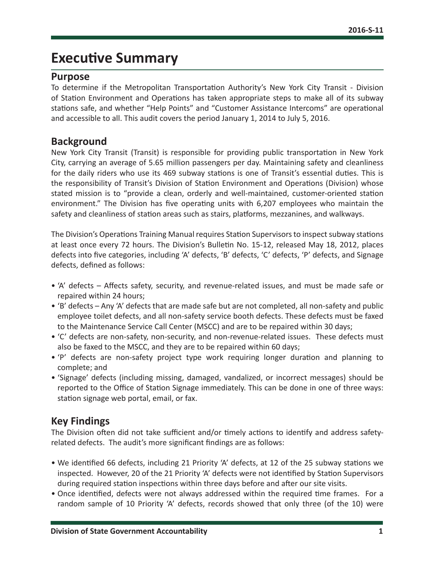## **Executive Summary**

#### **Purpose**

To determine if the Metropolitan Transportation Authority's New York City Transit - Division of Station Environment and Operations has taken appropriate steps to make all of its subway stations safe, and whether "Help Points" and "Customer Assistance Intercoms" are operational and accessible to all. This audit covers the period January 1, 2014 to July 5, 2016.

#### **Background**

New York City Transit (Transit) is responsible for providing public transportation in New York City, carrying an average of 5.65 million passengers per day. Maintaining safety and cleanliness for the daily riders who use its 469 subway stations is one of Transit's essential duties. This is the responsibility of Transit's Division of Station Environment and Operations (Division) whose stated mission is to "provide a clean, orderly and well-maintained, customer-oriented station environment." The Division has five operating units with 6,207 employees who maintain the safety and cleanliness of station areas such as stairs, platforms, mezzanines, and walkways.

The Division's Operations Training Manual requires Station Supervisors to inspect subway stations at least once every 72 hours. The Division's Bulletin No. 15-12, released May 18, 2012, places defects into five categories, including 'A' defects, 'B' defects, 'C' defects, 'P' defects, and Signage defects, defined as follows:

- 'A' defects Affects safety, security, and revenue-related issues, and must be made safe or repaired within 24 hours;
- 'B' defects Any 'A' defects that are made safe but are not completed, all non-safety and public employee toilet defects, and all non-safety service booth defects. These defects must be faxed to the Maintenance Service Call Center (MSCC) and are to be repaired within 30 days;
- 'C' defects are non-safety, non-security, and non-revenue-related issues. These defects must also be faxed to the MSCC, and they are to be repaired within 60 days;
- 'P' defects are non-safety project type work requiring longer duration and planning to complete; and
- 'Signage' defects (including missing, damaged, vandalized, or incorrect messages) should be reported to the Office of Station Signage immediately. This can be done in one of three ways: station signage web portal, email, or fax.

#### **Key Findings**

The Division often did not take sufficient and/or timely actions to identify and address safetyrelated defects. The audit's more significant findings are as follows:

- We identified 66 defects, including 21 Priority 'A' defects, at 12 of the 25 subway stations we inspected. However, 20 of the 21 Priority 'A' defects were not identified by Station Supervisors during required station inspections within three days before and after our site visits.
- Once identified, defects were not always addressed within the required time frames. For a random sample of 10 Priority 'A' defects, records showed that only three (of the 10) were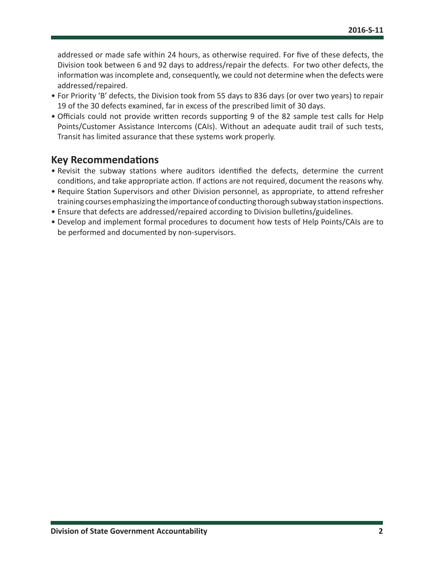addressed or made safe within 24 hours, as otherwise required. For five of these defects, the Division took between 6 and 92 days to address/repair the defects. For two other defects, the information was incomplete and, consequently, we could not determine when the defects were addressed/repaired.

- For Priority 'B' defects, the Division took from 55 days to 836 days (or over two years) to repair 19 of the 30 defects examined, far in excess of the prescribed limit of 30 days.
- Officials could not provide written records supporting 9 of the 82 sample test calls for Help Points/Customer Assistance Intercoms (CAIs). Without an adequate audit trail of such tests, Transit has limited assurance that these systems work properly.

#### **Key Recommendations**

- Revisit the subway stations where auditors identified the defects, determine the current conditions, and take appropriate action. If actions are not required, document the reasons why.
- Require Station Supervisors and other Division personnel, as appropriate, to attend refresher training courses emphasizing the importance of conducting thorough subway station inspections.
- Ensure that defects are addressed/repaired according to Division bulletins/guidelines.
- Develop and implement formal procedures to document how tests of Help Points/CAIs are to be performed and documented by non-supervisors.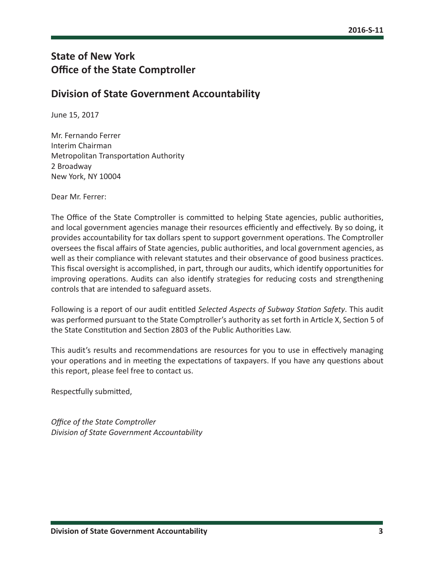#### **State of New York Office of the State Comptroller**

#### **Division of State Government Accountability**

June 15, 2017

Mr. Fernando Ferrer Interim Chairman Metropolitan Transportation Authority 2 Broadway New York, NY 10004

Dear Mr. Ferrer:

The Office of the State Comptroller is committed to helping State agencies, public authorities, and local government agencies manage their resources efficiently and effectively. By so doing, it provides accountability for tax dollars spent to support government operations. The Comptroller oversees the fiscal affairs of State agencies, public authorities, and local government agencies, as well as their compliance with relevant statutes and their observance of good business practices. This fiscal oversight is accomplished, in part, through our audits, which identify opportunities for improving operations. Audits can also identify strategies for reducing costs and strengthening controls that are intended to safeguard assets.

Following is a report of our audit entitled *Selected Aspects of Subway Station Safety*. This audit was performed pursuant to the State Comptroller's authority as set forth in Article X, Section 5 of the State Constitution and Section 2803 of the Public Authorities Law.

This audit's results and recommendations are resources for you to use in effectively managing your operations and in meeting the expectations of taxpayers. If you have any questions about this report, please feel free to contact us.

Respectfully submitted,

*Office of the State Comptroller Division of State Government Accountability*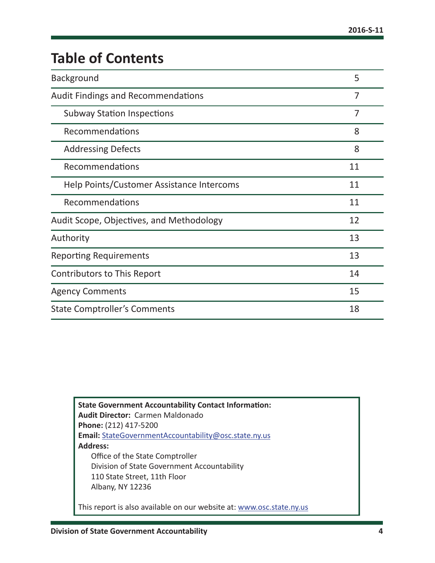# **Table of Contents**

| Background                                | 5              |  |
|-------------------------------------------|----------------|--|
| <b>Audit Findings and Recommendations</b> | 7              |  |
| <b>Subway Station Inspections</b>         | $\overline{7}$ |  |
| Recommendations                           | 8              |  |
| <b>Addressing Defects</b>                 | 8              |  |
| Recommendations                           | 11             |  |
| Help Points/Customer Assistance Intercoms | 11             |  |
| Recommendations                           | 11             |  |
| Audit Scope, Objectives, and Methodology  | 12             |  |
| Authority                                 | 13             |  |
| <b>Reporting Requirements</b>             | 13             |  |
| Contributors to This Report               | 14             |  |
| <b>Agency Comments</b>                    | 15             |  |
| <b>State Comptroller's Comments</b>       |                |  |

**State Government Accountability Contact Information: Audit Director:** Carmen Maldonado **Phone:** (212) 417-5200 **Email:** [StateGovernmentAccountability@osc.state.ny.us](mailto:StateGovernmentAccountability%40osc.state.ny.us?subject=) **Address:** Office of the State Comptroller Division of State Government Accountability 110 State Street, 11th Floor Albany, NY 12236 This report is also available on our website at: [www.osc.state.ny.us](http://www.osc.state.ny.us)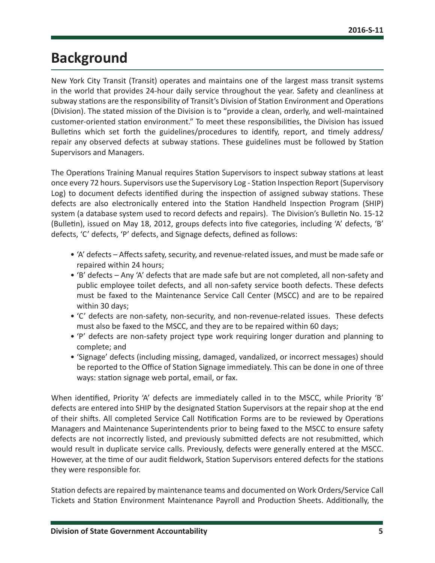# <span id="page-5-0"></span>**Background**

New York City Transit (Transit) operates and maintains one of the largest mass transit systems in the world that provides 24-hour daily service throughout the year. Safety and cleanliness at subway stations are the responsibility of Transit's Division of Station Environment and Operations (Division). The stated mission of the Division is to "provide a clean, orderly, and well-maintained customer-oriented station environment." To meet these responsibilities, the Division has issued Bulletins which set forth the guidelines/procedures to identify, report, and timely address/ repair any observed defects at subway stations. These guidelines must be followed by Station Supervisors and Managers.

The Operations Training Manual requires Station Supervisors to inspect subway stations at least once every 72 hours. Supervisors use the Supervisory Log - Station Inspection Report (Supervisory Log) to document defects identified during the inspection of assigned subway stations. These defects are also electronically entered into the Station Handheld Inspection Program (SHIP) system (a database system used to record defects and repairs). The Division's Bulletin No. 15-12 (Bulletin), issued on May 18, 2012, groups defects into five categories, including 'A' defects, 'B' defects, 'C' defects, 'P' defects, and Signage defects, defined as follows:

- 'A' defects Affects safety, security, and revenue-related issues, and must be made safe or repaired within 24 hours;
- 'B' defects Any 'A' defects that are made safe but are not completed, all non-safety and public employee toilet defects, and all non-safety service booth defects. These defects must be faxed to the Maintenance Service Call Center (MSCC) and are to be repaired within 30 days;
- 'C' defects are non-safety, non-security, and non-revenue-related issues. These defects must also be faxed to the MSCC, and they are to be repaired within 60 days;
- 'P' defects are non-safety project type work requiring longer duration and planning to complete; and
- 'Signage' defects (including missing, damaged, vandalized, or incorrect messages) should be reported to the Office of Station Signage immediately. This can be done in one of three ways: station signage web portal, email, or fax.

When identified, Priority 'A' defects are immediately called in to the MSCC, while Priority 'B' defects are entered into SHIP by the designated Station Supervisors at the repair shop at the end of their shifts. All completed Service Call Notification Forms are to be reviewed by Operations Managers and Maintenance Superintendents prior to being faxed to the MSCC to ensure safety defects are not incorrectly listed, and previously submitted defects are not resubmitted, which would result in duplicate service calls. Previously, defects were generally entered at the MSCC. However, at the time of our audit fieldwork, Station Supervisors entered defects for the stations they were responsible for.

Station defects are repaired by maintenance teams and documented on Work Orders/Service Call Tickets and Station Environment Maintenance Payroll and Production Sheets. Additionally, the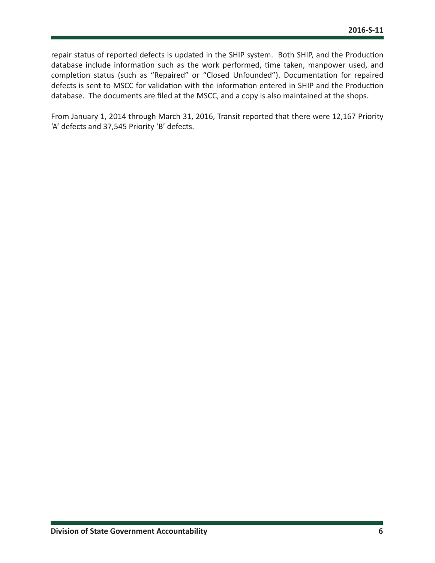repair status of reported defects is updated in the SHIP system. Both SHIP, and the Production database include information such as the work performed, time taken, manpower used, and completion status (such as "Repaired" or "Closed Unfounded"). Documentation for repaired defects is sent to MSCC for validation with the information entered in SHIP and the Production database. The documents are filed at the MSCC, and a copy is also maintained at the shops.

From January 1, 2014 through March 31, 2016, Transit reported that there were 12,167 Priority 'A' defects and 37,545 Priority 'B' defects.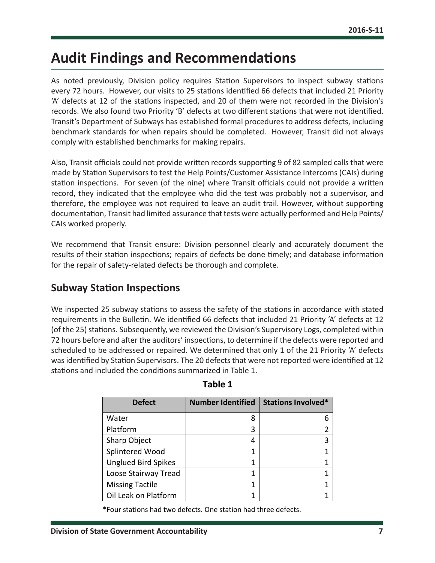# <span id="page-7-0"></span>**Audit Findings and Recommendations**

As noted previously, Division policy requires Station Supervisors to inspect subway stations every 72 hours. However, our visits to 25 stations identified 66 defects that included 21 Priority 'A' defects at 12 of the stations inspected, and 20 of them were not recorded in the Division's records. We also found two Priority 'B' defects at two different stations that were not identified. Transit's Department of Subways has established formal procedures to address defects, including benchmark standards for when repairs should be completed. However, Transit did not always comply with established benchmarks for making repairs.

Also, Transit officials could not provide written records supporting 9 of 82 sampled calls that were made by Station Supervisors to test the Help Points/Customer Assistance Intercoms (CAIs) during station inspections. For seven (of the nine) where Transit officials could not provide a written record, they indicated that the employee who did the test was probably not a supervisor, and therefore, the employee was not required to leave an audit trail. However, without supporting documentation, Transit had limited assurance that tests were actually performed and Help Points/ CAIs worked properly.

We recommend that Transit ensure: Division personnel clearly and accurately document the results of their station inspections; repairs of defects be done timely; and database information for the repair of safety-related defects be thorough and complete.

#### **Subway Station Inspections**

We inspected 25 subway stations to assess the safety of the stations in accordance with stated requirements in the Bulletin. We identified 66 defects that included 21 Priority 'A' defects at 12 (of the 25) stations. Subsequently, we reviewed the Division's Supervisory Logs, completed within 72 hours before and after the auditors' inspections, to determine if the defects were reported and scheduled to be addressed or repaired. We determined that only 1 of the 21 Priority 'A' defects was identified by Station Supervisors. The 20 defects that were not reported were identified at 12 stations and included the conditions summarized in Table 1.

| <b>Defect</b>              | <b>Number Identified</b> | <b>Stations Involved*</b> |  |
|----------------------------|--------------------------|---------------------------|--|
| Water                      | 8                        | h                         |  |
| Platform                   | 3                        |                           |  |
| Sharp Object               | 4                        | 3                         |  |
| Splintered Wood            |                          |                           |  |
| <b>Unglued Bird Spikes</b> |                          |                           |  |
| Loose Stairway Tread       |                          |                           |  |
| <b>Missing Tactile</b>     |                          |                           |  |
| Oil Leak on Platform       |                          |                           |  |

#### **Table 1**

\*Four stations had two defects. One station had three defects.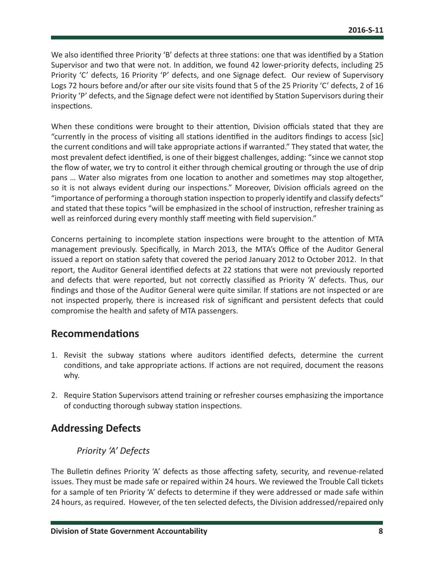<span id="page-8-0"></span>We also identified three Priority 'B' defects at three stations: one that was identified by a Station Supervisor and two that were not. In addition, we found 42 lower-priority defects, including 25 Priority 'C' defects, 16 Priority 'P' defects, and one Signage defect. Our review of Supervisory Logs 72 hours before and/or after our site visits found that 5 of the 25 Priority 'C' defects, 2 of 16 Priority 'P' defects, and the Signage defect were not identified by Station Supervisors during their inspections.

When these conditions were brought to their attention, Division officials stated that they are "currently in the process of visiting all stations identified in the auditors findings to access [sic] the current conditions and will take appropriate actions if warranted." They stated that water, the most prevalent defect identified, is one of their biggest challenges, adding: "since we cannot stop the flow of water, we try to control it either through chemical grouting or through the use of drip pans … Water also migrates from one location to another and sometimes may stop altogether, so it is not always evident during our inspections." Moreover, Division officials agreed on the "importance of performing a thorough station inspection to properly identify and classify defects" and stated that these topics "will be emphasized in the school of instruction, refresher training as well as reinforced during every monthly staff meeting with field supervision."

Concerns pertaining to incomplete station inspections were brought to the attention of MTA management previously. Specifically, in March 2013, the MTA's Office of the Auditor General issued a report on station safety that covered the period January 2012 to October 2012. In that report, the Auditor General identified defects at 22 stations that were not previously reported and defects that were reported, but not correctly classified as Priority 'A' defects. Thus, our findings and those of the Auditor General were quite similar. If stations are not inspected or are not inspected properly, there is increased risk of significant and persistent defects that could compromise the health and safety of MTA passengers.

#### **Recommendations**

- 1. Revisit the subway stations where auditors identified defects, determine the current conditions, and take appropriate actions. If actions are not required, document the reasons why.
- 2. Require Station Supervisors attend training or refresher courses emphasizing the importance of conducting thorough subway station inspections.

#### **Addressing Defects**

#### *Priority 'A' Defects*

The Bulletin defines Priority 'A' defects as those affecting safety, security, and revenue-related issues. They must be made safe or repaired within 24 hours. We reviewed the Trouble Call tickets for a sample of ten Priority 'A' defects to determine if they were addressed or made safe within 24 hours, as required. However, of the ten selected defects, the Division addressed/repaired only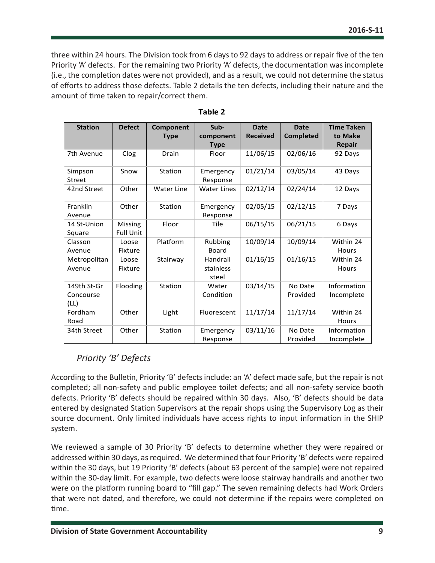three within 24 hours. The Division took from 6 days to 92 days to address or repair five of the ten Priority 'A' defects. For the remaining two Priority 'A' defects, the documentation was incomplete (i.e., the completion dates were not provided), and as a result, we could not determine the status of efforts to address those defects. Table 2 details the ten defects, including their nature and the amount of time taken to repair/correct them.

| <b>Station</b>                   | <b>Defect</b>               | Component         | Sub-                           | <b>Date</b>     | <b>Date</b>         | <b>Time Taken</b>         |
|----------------------------------|-----------------------------|-------------------|--------------------------------|-----------------|---------------------|---------------------------|
|                                  |                             | <b>Type</b>       | component                      | <b>Received</b> | <b>Completed</b>    | to Make                   |
|                                  |                             |                   | <b>Type</b>                    |                 |                     | <b>Repair</b>             |
| 7th Avenue                       | Clog                        | Drain             | Floor                          | 11/06/15        | 02/06/16            | 92 Days                   |
| Simpson<br><b>Street</b>         | Snow                        | Station           | Emergency<br>Response          | 01/21/14        | 03/05/14            | 43 Days                   |
| 42nd Street                      | Other                       | <b>Water Line</b> | <b>Water Lines</b>             | 02/12/14        | 02/24/14            | 12 Days                   |
| Franklin<br>Avenue               | Other                       | Station           | Emergency<br>Response          | 02/05/15        | 02/12/15            | 7 Days                    |
| 14 St-Union<br>Square            | Missing<br><b>Full Unit</b> | Floor             | Tile                           | 06/15/15        | 06/21/15            | 6 Days                    |
| Classon<br>Avenue                | Loose<br>Fixture            | Platform          | Rubbing<br><b>Board</b>        | 10/09/14        | 10/09/14            | Within 24<br><b>Hours</b> |
| Metropolitan<br>Avenue           | Loose<br>Fixture            | Stairway          | Handrail<br>stainless<br>steel | 01/16/15        | 01/16/15            | Within 24<br>Hours        |
| 149th St-Gr<br>Concourse<br>(LL) | Flooding                    | Station           | Water<br>Condition             | 03/14/15        | No Date<br>Provided | Information<br>Incomplete |
| Fordham<br>Road                  | Other                       | Light             | Fluorescent                    | 11/17/14        | 11/17/14            | Within 24<br><b>Hours</b> |
| 34th Street                      | Other                       | Station           | Emergency<br>Response          | 03/11/16        | No Date<br>Provided | Information<br>Incomplete |

#### **Table 2**

#### *Priority 'B' Defects*

According to the Bulletin, Priority 'B' defects include: an 'A' defect made safe, but the repair is not completed; all non-safety and public employee toilet defects; and all non-safety service booth defects. Priority 'B' defects should be repaired within 30 days. Also, 'B' defects should be data entered by designated Station Supervisors at the repair shops using the Supervisory Log as their source document. Only limited individuals have access rights to input information in the SHIP system.

We reviewed a sample of 30 Priority 'B' defects to determine whether they were repaired or addressed within 30 days, as required. We determined that four Priority 'B' defects were repaired within the 30 days, but 19 Priority 'B' defects (about 63 percent of the sample) were not repaired within the 30-day limit. For example, two defects were loose stairway handrails and another two were on the platform running board to "fill gap." The seven remaining defects had Work Orders that were not dated, and therefore, we could not determine if the repairs were completed on time.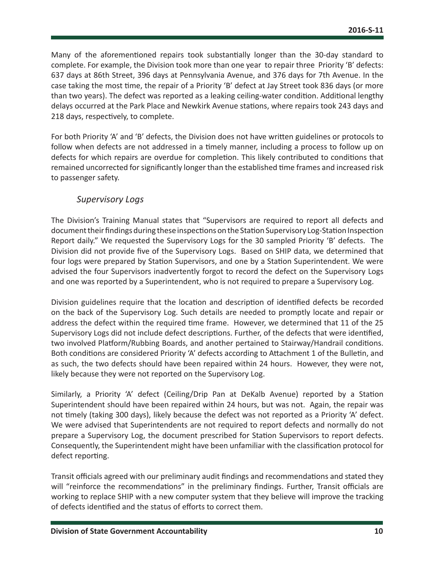Many of the aforementioned repairs took substantially longer than the 30-day standard to complete. For example, the Division took more than one year to repair three Priority 'B' defects: 637 days at 86th Street, 396 days at Pennsylvania Avenue, and 376 days for 7th Avenue. In the case taking the most time, the repair of a Priority 'B' defect at Jay Street took 836 days (or more than two years). The defect was reported as a leaking ceiling-water condition. Additional lengthy delays occurred at the Park Place and Newkirk Avenue stations, where repairs took 243 days and 218 days, respectively, to complete.

For both Priority 'A' and 'B' defects, the Division does not have written guidelines or protocols to follow when defects are not addressed in a timely manner, including a process to follow up on defects for which repairs are overdue for completion. This likely contributed to conditions that remained uncorrected for significantly longer than the established time frames and increased risk to passenger safety.

#### *Supervisory Logs*

The Division's Training Manual states that "Supervisors are required to report all defects and document their findings during these inspections on the Station Supervisory Log-Station Inspection Report daily." We requested the Supervisory Logs for the 30 sampled Priority 'B' defects. The Division did not provide five of the Supervisory Logs. Based on SHIP data, we determined that four logs were prepared by Station Supervisors, and one by a Station Superintendent. We were advised the four Supervisors inadvertently forgot to record the defect on the Supervisory Logs and one was reported by a Superintendent, who is not required to prepare a Supervisory Log.

Division guidelines require that the location and description of identified defects be recorded on the back of the Supervisory Log. Such details are needed to promptly locate and repair or address the defect within the required time frame. However, we determined that 11 of the 25 Supervisory Logs did not include defect descriptions. Further, of the defects that were identified, two involved Platform/Rubbing Boards, and another pertained to Stairway/Handrail conditions. Both conditions are considered Priority 'A' defects according to Attachment 1 of the Bulletin, and as such, the two defects should have been repaired within 24 hours. However, they were not, likely because they were not reported on the Supervisory Log.

Similarly, a Priority 'A' defect (Ceiling/Drip Pan at DeKalb Avenue) reported by a Station Superintendent should have been repaired within 24 hours, but was not. Again, the repair was not timely (taking 300 days), likely because the defect was not reported as a Priority 'A' defect. We were advised that Superintendents are not required to report defects and normally do not prepare a Supervisory Log, the document prescribed for Station Supervisors to report defects. Consequently, the Superintendent might have been unfamiliar with the classification protocol for defect reporting.

Transit officials agreed with our preliminary audit findings and recommendations and stated they will "reinforce the recommendations" in the preliminary findings. Further, Transit officials are working to replace SHIP with a new computer system that they believe will improve the tracking of defects identified and the status of efforts to correct them.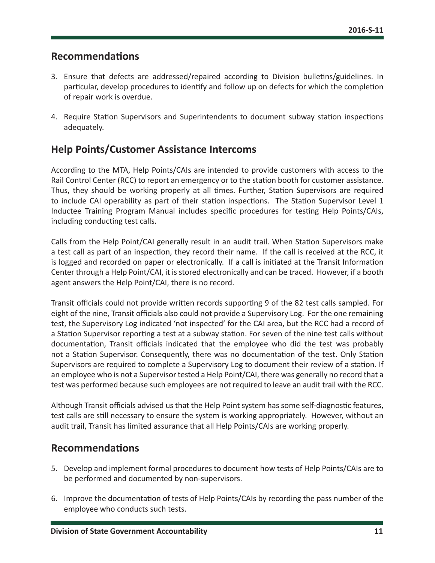#### <span id="page-11-0"></span>**Recommendations**

- 3. Ensure that defects are addressed/repaired according to Division bulletins/guidelines. In particular, develop procedures to identify and follow up on defects for which the completion of repair work is overdue.
- 4. Require Station Supervisors and Superintendents to document subway station inspections adequately.

#### **Help Points/Customer Assistance Intercoms**

According to the MTA, Help Points/CAIs are intended to provide customers with access to the Rail Control Center (RCC) to report an emergency or to the station booth for customer assistance. Thus, they should be working properly at all times. Further, Station Supervisors are required to include CAI operability as part of their station inspections. The Station Supervisor Level 1 Inductee Training Program Manual includes specific procedures for testing Help Points/CAIs, including conducting test calls.

Calls from the Help Point/CAI generally result in an audit trail. When Station Supervisors make a test call as part of an inspection, they record their name. If the call is received at the RCC, it is logged and recorded on paper or electronically. If a call is initiated at the Transit Information Center through a Help Point/CAI, it is stored electronically and can be traced. However, if a booth agent answers the Help Point/CAI, there is no record.

Transit officials could not provide written records supporting 9 of the 82 test calls sampled. For eight of the nine, Transit officials also could not provide a Supervisory Log. For the one remaining test, the Supervisory Log indicated 'not inspected' for the CAI area, but the RCC had a record of a Station Supervisor reporting a test at a subway station. For seven of the nine test calls without documentation, Transit officials indicated that the employee who did the test was probably not a Station Supervisor. Consequently, there was no documentation of the test. Only Station Supervisors are required to complete a Supervisory Log to document their review of a station. If an employee who is not a Supervisor tested a Help Point/CAI, there was generally no record that a test was performed because such employees are not required to leave an audit trail with the RCC.

Although Transit officials advised us that the Help Point system has some self-diagnostic features, test calls are still necessary to ensure the system is working appropriately. However, without an audit trail, Transit has limited assurance that all Help Points/CAIs are working properly.

#### **Recommendations**

- 5. Develop and implement formal procedures to document how tests of Help Points/CAIs are to be performed and documented by non-supervisors.
- 6. Improve the documentation of tests of Help Points/CAIs by recording the pass number of the employee who conducts such tests.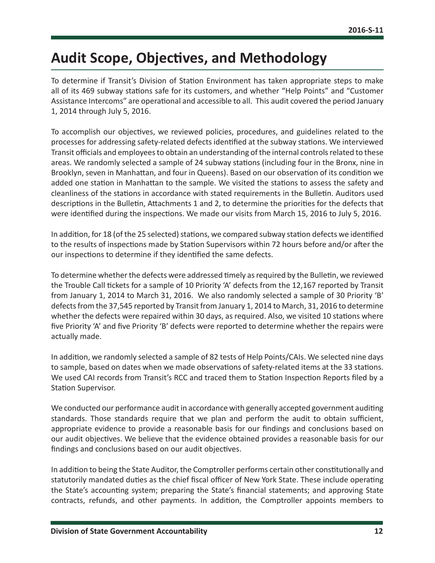# <span id="page-12-0"></span>**Audit Scope, Objectives, and Methodology**

To determine if Transit's Division of Station Environment has taken appropriate steps to make all of its 469 subway stations safe for its customers, and whether "Help Points" and "Customer Assistance Intercoms" are operational and accessible to all. This audit covered the period January 1, 2014 through July 5, 2016.

To accomplish our objectives, we reviewed policies, procedures, and guidelines related to the processes for addressing safety-related defects identified at the subway stations. We interviewed Transit officials and employees to obtain an understanding of the internal controls related to these areas. We randomly selected a sample of 24 subway stations (including four in the Bronx, nine in Brooklyn, seven in Manhattan, and four in Queens). Based on our observation of its condition we added one station in Manhattan to the sample. We visited the stations to assess the safety and cleanliness of the stations in accordance with stated requirements in the Bulletin. Auditors used descriptions in the Bulletin, Attachments 1 and 2, to determine the priorities for the defects that were identified during the inspections. We made our visits from March 15, 2016 to July 5, 2016.

In addition, for 18 (of the 25 selected) stations, we compared subway station defects we identified to the results of inspections made by Station Supervisors within 72 hours before and/or after the our inspections to determine if they identified the same defects.

To determine whether the defects were addressed timely as required by the Bulletin, we reviewed the Trouble Call tickets for a sample of 10 Priority 'A' defects from the 12,167 reported by Transit from January 1, 2014 to March 31, 2016. We also randomly selected a sample of 30 Priority 'B' defects from the 37,545 reported by Transit from January 1, 2014 to March, 31, 2016 to determine whether the defects were repaired within 30 days, as required. Also, we visited 10 stations where five Priority 'A' and five Priority 'B' defects were reported to determine whether the repairs were actually made.

In addition, we randomly selected a sample of 82 tests of Help Points/CAIs. We selected nine days to sample, based on dates when we made observations of safety-related items at the 33 stations. We used CAI records from Transit's RCC and traced them to Station Inspection Reports filed by a Station Supervisor.

We conducted our performance audit in accordance with generally accepted government auditing standards. Those standards require that we plan and perform the audit to obtain sufficient, appropriate evidence to provide a reasonable basis for our findings and conclusions based on our audit objectives. We believe that the evidence obtained provides a reasonable basis for our findings and conclusions based on our audit objectives.

In addition to being the State Auditor, the Comptroller performs certain other constitutionally and statutorily mandated duties as the chief fiscal officer of New York State. These include operating the State's accounting system; preparing the State's financial statements; and approving State contracts, refunds, and other payments. In addition, the Comptroller appoints members to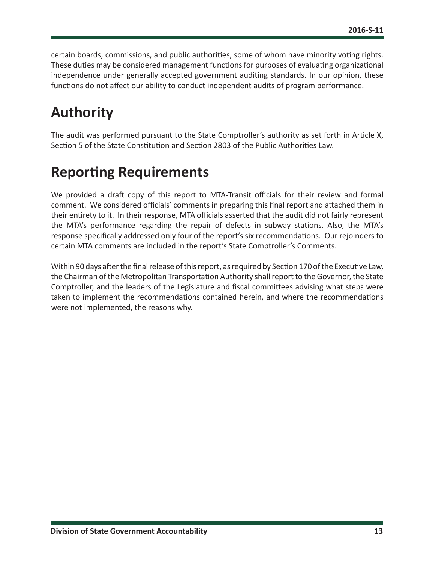<span id="page-13-0"></span>certain boards, commissions, and public authorities, some of whom have minority voting rights. These duties may be considered management functions for purposes of evaluating organizational independence under generally accepted government auditing standards. In our opinion, these functions do not affect our ability to conduct independent audits of program performance.

# **Authority**

The audit was performed pursuant to the State Comptroller's authority as set forth in Article X, Section 5 of the State Constitution and Section 2803 of the Public Authorities Law.

# **Reporting Requirements**

We provided a draft copy of this report to MTA-Transit officials for their review and formal comment. We considered officials' comments in preparing this final report and attached them in their entirety to it. In their response, MTA officials asserted that the audit did not fairly represent the MTA's performance regarding the repair of defects in subway stations. Also, the MTA's response specifically addressed only four of the report's six recommendations. Our rejoinders to certain MTA comments are included in the report's State Comptroller's Comments.

Within 90 days after the final release of this report, as required by Section 170 of the Executive Law, the Chairman of the Metropolitan Transportation Authority shall report to the Governor, the State Comptroller, and the leaders of the Legislature and fiscal committees advising what steps were taken to implement the recommendations contained herein, and where the recommendations were not implemented, the reasons why.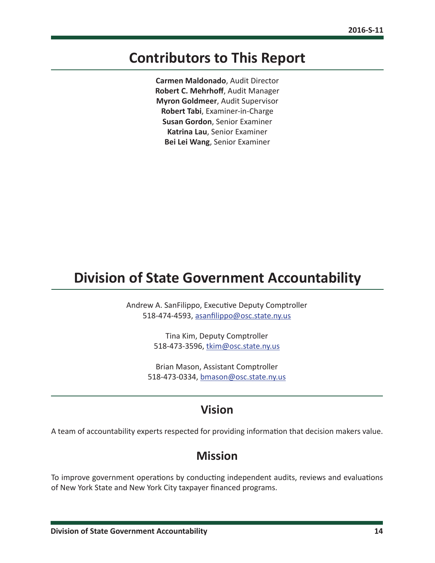### <span id="page-14-0"></span>**Contributors to This Report**

**Carmen Maldonado**, Audit Director **Robert C. Mehrhoff**, Audit Manager **Myron Goldmeer**, Audit Supervisor **Robert Tabi**, Examiner-in-Charge **Susan Gordon**, Senior Examiner **Katrina Lau**, Senior Examiner **Bei Lei Wang**, Senior Examiner

### **Division of State Government Accountability**

Andrew A. SanFilippo, Executive Deputy Comptroller 518-474-4593, [asanfilippo@osc.state.ny.us](mailto:asanfilippo%40osc.state.ny.us%0D?subject=)

> Tina Kim, Deputy Comptroller 518-473-3596, [tkim@osc.state.ny.us](mailto:tkim%40osc.state.ny.us?subject=)

Brian Mason, Assistant Comptroller 518-473-0334, [bmason@osc.state.ny.us](mailto:bmason%40osc.state.ny.us?subject=)

#### **Vision**

A team of accountability experts respected for providing information that decision makers value.

#### **Mission**

To improve government operations by conducting independent audits, reviews and evaluations of New York State and New York City taxpayer financed programs.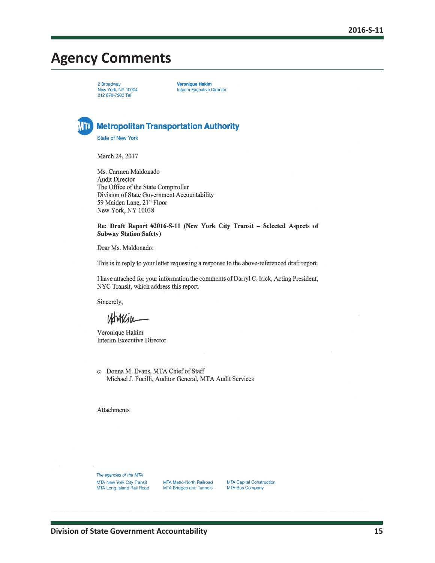## <span id="page-15-0"></span>**Agency Comments**

2 Broadway New York, NY 10004 212 878-7200 Tel

**Veronique Hakim Interim Executive Director** 



**Metropolitan Transportation Authority** 

**State of New York** 

March 24, 2017

Ms. Carmen Maldonado **Audit Director** The Office of the State Comptroller Division of State Government Accountability 59 Maiden Lane, 21<sup>st</sup> Floor New York, NY 10038

Re: Draft Report #2016-S-11 (New York City Transit - Selected Aspects of **Subway Station Safety)** 

Dear Ms. Maldonado:

This is in reply to your letter requesting a response to the above-referenced draft report.

I have attached for your information the comments of Darryl C. Irick, Acting President, NYC Transit, which address this report.

Sincerely,

Veronique Hakim **Interim Executive Director** 

c: Donna M. Evans, MTA Chief of Staff Michael J. Fucilli, Auditor General, MTA Audit Services

Attachments

The agencies of the MTA MTA New York City Transit MTA Long Island Rail Road

MTA Metro-North Railroad MTA Bridges and Tunnels MTA Capital Construction MTA Bus Company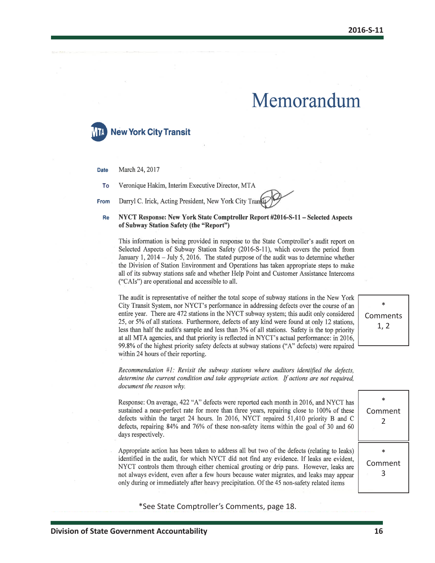# Memorandum



March 24, 2017 **Date** 

Veronique Hakim, Interim Executive Director, MTA To

Darryl C. Irick, Acting President, New York City Trans From

#### NYCT Response: New York State Comptroller Report #2016-S-11 – Selected Aspects Re of Subway Station Safety (the "Report")

This information is being provided in response to the State Comptroller's audit report on Selected Aspects of Subway Station Safety (2016-S-11), which covers the period from January 1, 2014 – July 5, 2016. The stated purpose of the audit was to determine whether the Division of Station Environment and Operations has taken appropriate steps to make all of its subway stations safe and whether Help Point and Customer Assistance Intercoms ("CAIs") are operational and accessible to all.

The audit is representative of neither the total scope of subway stations in the New York City Transit System, nor NYCT's performance in addressing defects over the course of an entire year. There are 472 stations in the NYCT subway system; this audit only considered 25, or 5% of all stations. Furthermore, defects of any kind were found at only 12 stations, less than half the audit's sample and less than 3% of all stations. Safety is the top priority at all MTA agencies, and that priority is reflected in NYCT's actual performance: in 2016. 99.8% of the highest priority safety defects at subway stations ("A" defects) were repaired within 24 hours of their reporting.

\* Comments 1, 2

\* Comment 2

\* Comment 3

Recommendation  $#1$ : Revisit the subway stations where auditors identified the defects. determine the current condition and take appropriate action. If actions are not required, document the reason why.

Response: On average, 422 "A" defects were reported each month in 2016, and NYCT has sustained a near-perfect rate for more than three years, repairing close to 100% of these defects within the target 24 hours. In 2016, NYCT repaired 51,410 priority B and C defects, repairing 84% and 76% of these non-safety items within the goal of 30 and 60 days respectively.

Appropriate action has been taken to address all but two of the defects (relating to leaks) identified in the audit, for which NYCT did not find any evidence. If leaks are evident, NYCT controls them through either chemical grouting or drip pans. However, leaks are not always evident, even after a few hours because water migrates, and leaks may appear only during or immediately after heavy precipitation. Of the 45 non-safety related items

\*See State Comptroller's Comments, page 18.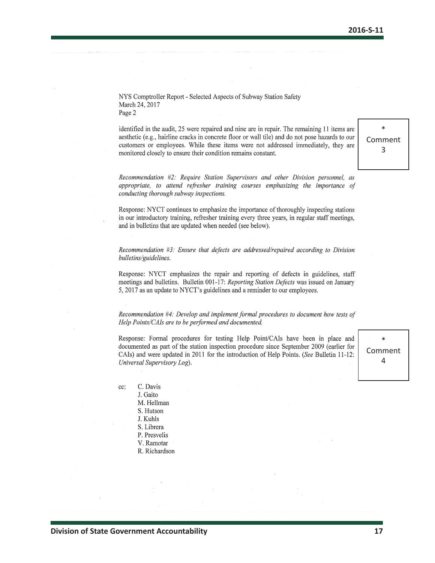NYS Comptroller Report - Selected Aspects of Subway Station Safety March 24, 2017 Page 2

identified in the audit, 25 were repaired and nine are in repair. The remaining 11 items are aesthetic (e.g., hairline cracks in concrete floor or wall tile) and do not pose hazards to our customers or employees. While these items were not addressed immediately, they are monitored closely to ensure their condition remains constant.

\* Comment 3

Recommendation #2: Require Station Supervisors and other Division personnel, as appropriate, to attend refresher training courses emphasizing the importance of conducting thorough subway inspections.

Response: NYCT continues to emphasize the importance of thoroughly inspecting stations in our introductory training, refresher training every three years, in regular staff meetings, and in bulletins that are updated when needed (see below).

Recommendation #3: Ensure that defects are addressed/repaired according to Division bulletins/guidelines.

Response: NYCT emphasizes the repair and reporting of defects in guidelines, staff meetings and bulletins. Bulletin 001-17: Reporting Station Defects was issued on January 5, 2017 as an update to NYCT's guidelines and a reminder to our employees.

Recommendation #4: Develop and implement formal procedures to document how tests of Help Points/CAIs are to be performed and documented.

Response: Formal procedures for testing Help Point/CAIs have been in place and documented as part of the station inspection procedure since September 2009 (earlier for CAIs) and were updated in 2011 for the introduction of Help Points. (See Bulletin 11-12: Universal Supervisory Log).

\* Comment 4

C. Davis cc: J. Gaito M. Hellman S. Hutson J. Kuhls S. Librera P. Presvelis V. Ramotar

R. Richardson